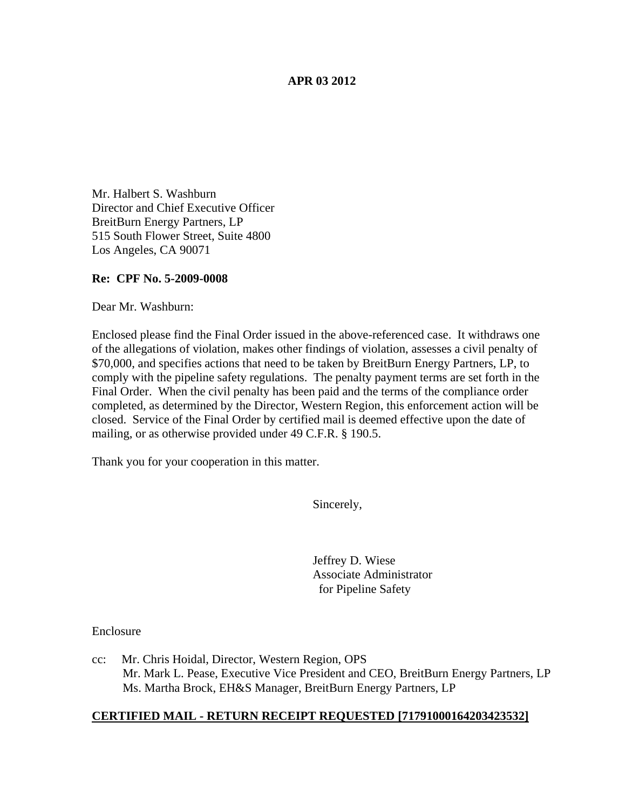## **APR 03 2012**

Mr. Halbert S. Washburn Director and Chief Executive Officer BreitBurn Energy Partners, LP 515 South Flower Street, Suite 4800 Los Angeles, CA 90071

### **Re: CPF No. 5-2009-0008**

Dear Mr. Washburn:

Enclosed please find the Final Order issued in the above-referenced case. It withdraws one of the allegations of violation, makes other findings of violation, assesses a civil penalty of \$70,000, and specifies actions that need to be taken by BreitBurn Energy Partners, LP, to comply with the pipeline safety regulations. The penalty payment terms are set forth in the Final Order. When the civil penalty has been paid and the terms of the compliance order completed, as determined by the Director, Western Region, this enforcement action will be closed. Service of the Final Order by certified mail is deemed effective upon the date of mailing, or as otherwise provided under 49 C.F.R. § 190.5.

Thank you for your cooperation in this matter.

Sincerely,

Jeffrey D. Wiese Associate Administrator for Pipeline Safety

Enclosure

cc: Mr. Chris Hoidal, Director, Western Region, OPS Mr. Mark L. Pease, Executive Vice President and CEO, BreitBurn Energy Partners, LP Ms. Martha Brock, EH&S Manager, BreitBurn Energy Partners, LP

### **CERTIFIED MAIL - RETURN RECEIPT REQUESTED [71791000164203423532]**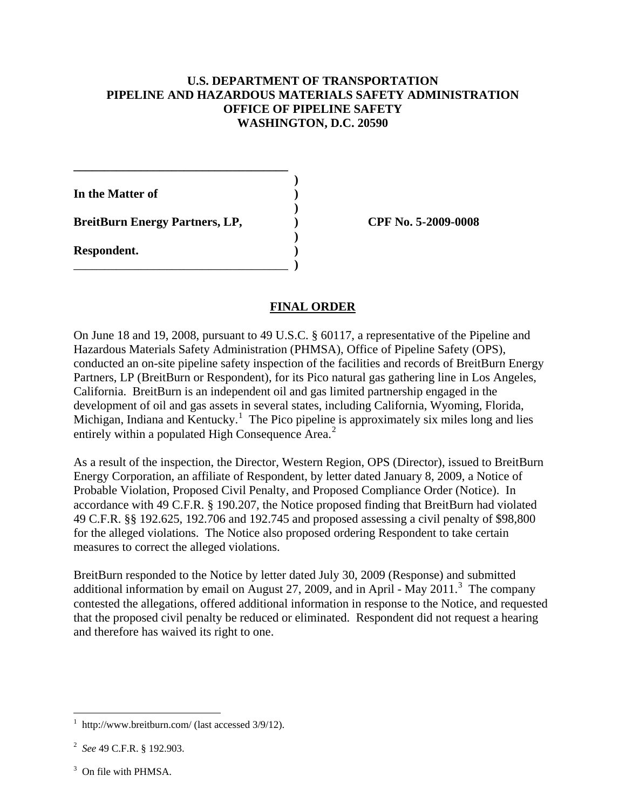## **U.S. DEPARTMENT OF TRANSPORTATION PIPELINE AND HAZARDOUS MATERIALS SAFETY ADMINISTRATION OFFICE OF PIPELINE SAFETY WASHINGTON, D.C. 20590**

 **)**

 **)**

 **)**

**In the Matter of )**

**BreitBurn Energy Partners, LP, ) CPF No. 5-2009-0008**

**\_\_\_\_\_\_\_\_\_\_\_\_\_\_\_\_\_\_\_\_\_\_\_\_\_\_\_\_\_\_\_\_\_\_\_**

\_\_\_\_\_\_\_\_\_\_\_\_\_\_\_\_\_\_\_\_\_\_\_\_\_\_\_\_\_\_\_\_\_\_\_ **)**

**Respondent. )**

# **FINAL ORDER**

On June 18 and 19, 2008, pursuant to 49 U.S.C. § 60117, a representative of the Pipeline and Hazardous Materials Safety Administration (PHMSA), Office of Pipeline Safety (OPS), conducted an on-site pipeline safety inspection of the facilities and records of BreitBurn Energy Partners, LP (BreitBurn or Respondent), for its Pico natural gas gathering line in Los Angeles, California. BreitBurn is an independent oil and gas limited partnership engaged in the development of oil and gas assets in several states, including California, Wyoming, Florida, Michigan, Indiana and Kentucky.<sup>[1](#page-1-0)</sup> The Pico pipeline is approximately six miles long and lies entirely within a populated High Consequence Area.<sup>[2](#page-1-1)</sup>

As a result of the inspection, the Director, Western Region, OPS (Director), issued to BreitBurn Energy Corporation, an affiliate of Respondent, by letter dated January 8, 2009, a Notice of Probable Violation, Proposed Civil Penalty, and Proposed Compliance Order (Notice). In accordance with 49 C.F.R. § 190.207, the Notice proposed finding that BreitBurn had violated 49 C.F.R. §§ 192.625, 192.706 and 192.745 and proposed assessing a civil penalty of \$98,800 for the alleged violations. The Notice also proposed ordering Respondent to take certain measures to correct the alleged violations.

BreitBurn responded to the Notice by letter dated July 30, 2009 (Response) and submitted additional information by email on August 27, 2009, and in April - May 2011.<sup>[3](#page-1-2)</sup> The company contested the allegations, offered additional information in response to the Notice, and requested that the proposed civil penalty be reduced or eliminated. Respondent did not request a hearing and therefore has waived its right to one.

<span id="page-1-0"></span> $\frac{1}{1}$ http://www.breitburn.com/ (last accessed 3/9/12).

<span id="page-1-1"></span><sup>2</sup> *See* 49 C.F.R. § 192.903.

<span id="page-1-2"></span><sup>&</sup>lt;sup>3</sup> On file with PHMSA.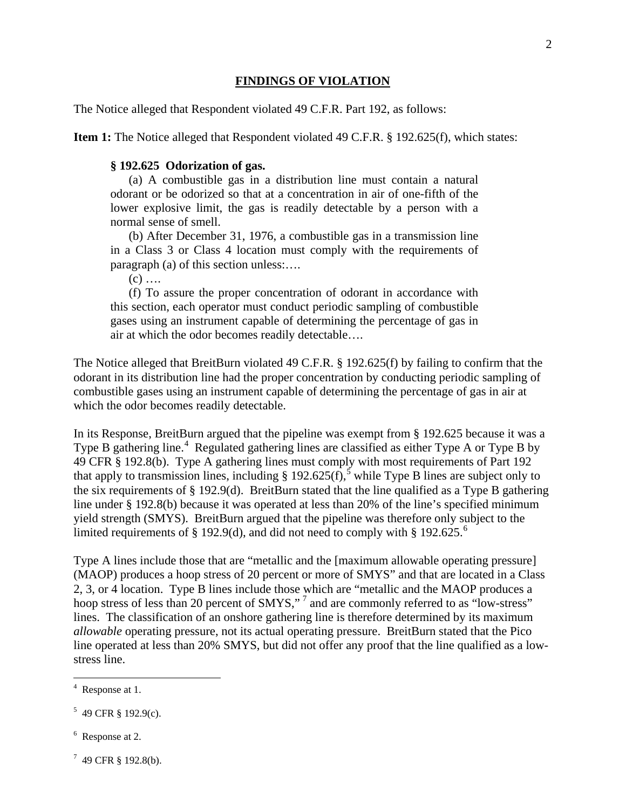#### **FINDINGS OF VIOLATION**

The Notice alleged that Respondent violated 49 C.F.R. Part 192, as follows:

**Item 1:** The Notice alleged that Respondent violated 49 C.F.R. § 192.625(f), which states:

#### **§ 192.625 Odorization of gas.**

(a) A combustible gas in a distribution line must contain a natural odorant or be odorized so that at a concentration in air of one-fifth of the lower explosive limit, the gas is readily detectable by a person with a normal sense of smell.

(b) After December 31, 1976, a combustible gas in a transmission line in a Class 3 or Class 4 location must comply with the requirements of paragraph (a) of this section unless:….

 $(c)$  ....

(f) To assure the proper concentration of odorant in accordance with this section, each operator must conduct periodic sampling of combustible gases using an instrument capable of determining the percentage of gas in air at which the odor becomes readily detectable….

The Notice alleged that BreitBurn violated 49 C.F.R. § 192.625(f) by failing to confirm that the odorant in its distribution line had the proper concentration by conducting periodic sampling of combustible gases using an instrument capable of determining the percentage of gas in air at which the odor becomes readily detectable.

In its Response, BreitBurn argued that the pipeline was exempt from § 192.625 because it was a Type B gathering line.<sup>[4](#page-2-0)</sup> Regulated gathering lines are classified as either Type A or Type B by 49 CFR § 192.8(b). Type A gathering lines must comply with most requirements of Part 192 that apply to transmission lines, including § 192.62[5](#page-2-1)(f), while Type B lines are subject only to the six requirements of § 192.9(d). BreitBurn stated that the line qualified as a Type B gathering line under § 192.8(b) because it was operated at less than 20% of the line's specified minimum yield strength (SMYS). BreitBurn argued that the pipeline was therefore only subject to the limited requirements of § 192.9(d), and did not need to comply with § 192.[6](#page-2-2)25.<sup>6</sup>

Type A lines include those that are "metallic and the [maximum allowable operating pressure] (MAOP) produces a hoop stress of 20 percent or more of SMYS" and that are located in a Class 2, 3, or 4 location. Type B lines include those which are "metallic and the MAOP produces a hoop stress of less than 20 percent of SMYS,"<sup>[7](#page-2-3)</sup> and are commonly referred to as "low-stress" *allowable* operating pressure, not its actual operating pressure. BreitBurn stated that the Pico line operated at less than 20% SMYS, but did not offer any proof that the line qualified as a lowstress line. lines. The classification of an onshore gathering line is therefore determined by its maximum

<span id="page-2-2"></span><sup>6</sup> Response at 2.

<span id="page-2-0"></span> $\frac{1}{4}$ <sup>4</sup> Response at 1.

<span id="page-2-1"></span> $5$  49 CFR § 192.9(c).

<span id="page-2-3"></span> $7\,$  49 CFR § 192.8(b).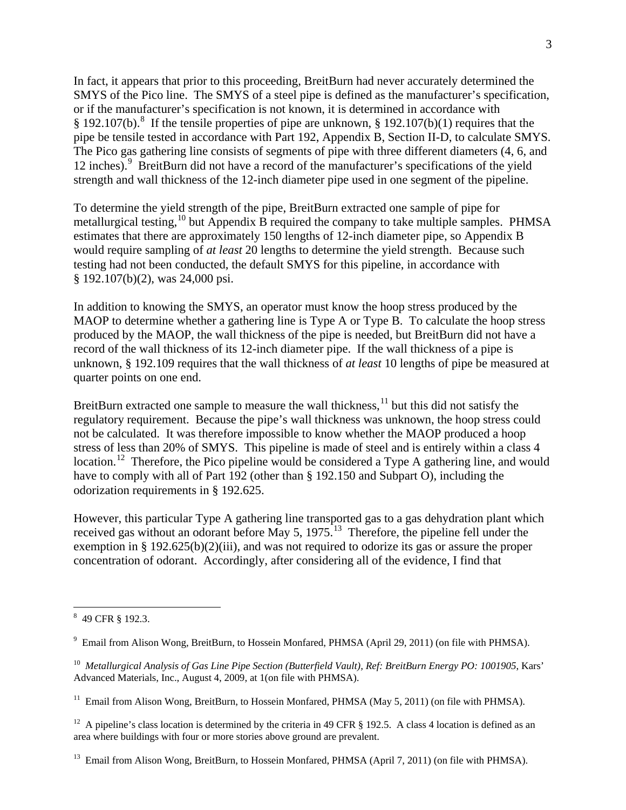In fact, it appears that prior to this proceeding, BreitBurn had never accurately determined the SMYS of the Pico line. The SMYS of a steel pipe is defined as the manufacturer's specification, or if the manufacturer's specification is not known, it is determined in accordance with § 192.107(b).<sup>[8](#page-3-0)</sup> If the tensile properties of pipe are unknown, § 192.107(b)(1) requires that the pipe be tensile tested in accordance with Part 192, Appendix B, Section II-D, to calculate SMYS. The Pico gas gathering line consists of segments of pipe with three different diameters (4, 6, and 12 inches).<sup>[9](#page-3-1)</sup> BreitBurn did not have a record of the manufacturer's specifications of the yield strength and wall thickness of the 12-inch diameter pipe used in one segment of the pipeline.

To determine the yield strength of the pipe, BreitBurn extracted one sample of pipe for metallurgical testing,<sup>[10](#page-3-2)</sup> but Appendix B required the company to take multiple samples. PHMSA § 192.107(b)(2), was 24,000 psi. estimates that there are approximately 150 lengths of 12-inch diameter pipe, so Appendix B would require sampling of *at least* 20 lengths to determine the yield strength. Because such testing had not been conducted, the default SMYS for this pipeline, in accordance with

In addition to knowing the SMYS, an operator must know the hoop stress produced by the MAOP to determine whether a gathering line is Type A or Type B. To calculate the hoop stress produced by the MAOP, the wall thickness of the pipe is needed, but BreitBurn did not have a record of the wall thickness of its 12-inch diameter pipe. If the wall thickness of a pipe is unknown, § 192.109 requires that the wall thickness of *at least* 10 lengths of pipe be measured at quarter points on one end.

BreitBurn extracted one sample to measure the wall thickness, $11$  but this did not satisfy the stress of less than 20% of SMYS. This pipeline is made of steel and is entirely within a class 4 regulatory requirement. Because the pipe's wall thickness was unknown, the hoop stress could not be calculated. It was therefore impossible to know whether the MAOP produced a hoop location.<sup>[12](#page-3-4)</sup> Therefore, the Pico pipeline would be considered a Type A gathering line, and would have to comply with all of Part 192 (other than § 192.150 and Subpart O), including the odorization requirements in § 192.625.

However, this particular Type A gathering line transported gas to a gas dehydration plant which received gas without an odorant before May 5, 1975.<sup>13</sup> Therefore, the pipeline fell under the exemption in § 192.625(b)(2)(iii), and was not required to odorize its gas or assure the proper concentration of odorant. Accordingly, after considering all of the evidence, I find that

<span id="page-3-0"></span> <sup>8</sup> 49 CFR § 192.3.

<span id="page-3-1"></span><sup>&</sup>lt;sup>9</sup> Email from Alison Wong, BreitBurn, to Hossein Monfared, PHMSA (April 29, 2011) (on file with PHMSA).

<span id="page-3-2"></span><sup>&</sup>lt;sup>10</sup> Metallurgical Analysis of Gas Line Pipe Section (Butterfield Vault), Ref: BreitBurn Energy PO: 1001905, Kars' Advanced Materials, Inc., August 4, 2009, at 1(on file with PHMSA).

<span id="page-3-3"></span><sup>&</sup>lt;sup>11</sup> Email from Alison Wong, BreitBurn, to Hossein Monfared, PHMSA (May 5, 2011) (on file with PHMSA).

<span id="page-3-4"></span><sup>&</sup>lt;sup>12</sup> A pipeline's class location is determined by the criteria in 49 CFR  $\S$  192.5. A class 4 location is defined as an area where buildings with four or more stories above ground are prevalent.

<span id="page-3-5"></span><sup>&</sup>lt;sup>13</sup> Email from Alison Wong, BreitBurn, to Hossein Monfared, PHMSA (April 7, 2011) (on file with PHMSA).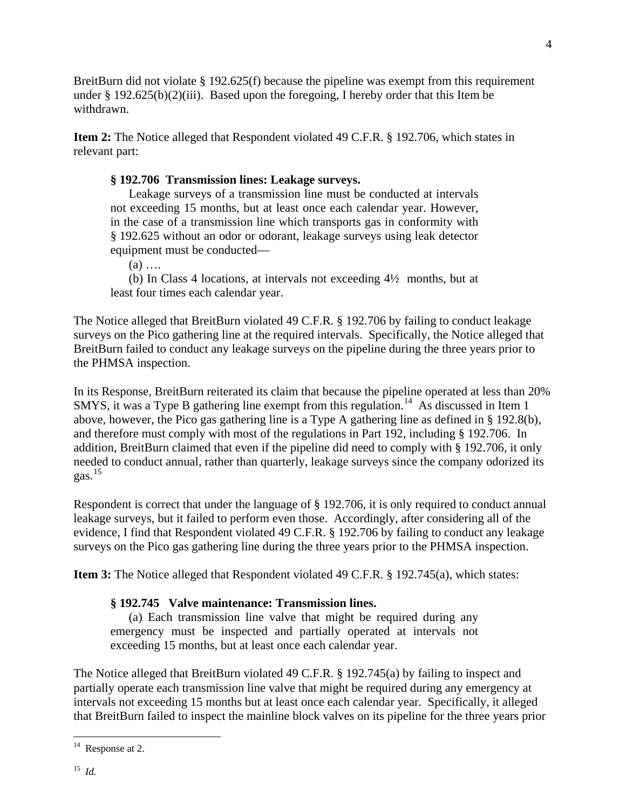BreitBurn did not violate  $\S 192.625(f)$  because the pipeline was exempt from this requirement under § 192.625(b)(2)(iii). Based upon the foregoing, I hereby order that this Item be withdrawn.

**Item 2:** The Notice alleged that Respondent violated 49 C.F.R. § 192.706, which states in relevant part:

# **§ 192.706 Transmission lines: Leakage surveys.**

Leakage surveys of a transmission line must be conducted at intervals not exceeding 15 months, but at least once each calendar year. However, in the case of a transmission line which transports gas in conformity with § 192.625 without an odor or odorant, leakage surveys using leak detector equipment must be conducted—

(a) ….

(b) In Class 4 locations, at intervals not exceeding 4½ months, but at least four times each calendar year.

The Notice alleged that BreitBurn violated 49 C.F.R. § 192.706 by failing to conduct leakage surveys on the Pico gathering line at the required intervals. Specifically, the Notice alleged that BreitBurn failed to conduct any leakage surveys on the pipeline during the three years prior to the PHMSA inspection.

In its Response, BreitBurn reiterated its claim that because the pipeline operated at less than 20% SMYS, it was a Type B gathering line exempt from this regulation.<sup>[14](#page-4-0)</sup> As discussed in Item 1 gas. [15](#page-4-1)  above, however, the Pico gas gathering line is a Type A gathering line as defined in § 192.8(b), and therefore must comply with most of the regulations in Part 192, including § 192.706. In addition, BreitBurn claimed that even if the pipeline did need to comply with § 192.706, it only needed to conduct annual, rather than quarterly, leakage surveys since the company odorized its

Respondent is correct that under the language of § 192.706, it is only required to conduct annual leakage surveys, but it failed to perform even those. Accordingly, after considering all of the evidence, I find that Respondent violated 49 C.F.R. § 192.706 by failing to conduct any leakage surveys on the Pico gas gathering line during the three years prior to the PHMSA inspection.

**Item 3:** The Notice alleged that Respondent violated 49 C.F.R. § 192.745(a), which states:

# **§ 192.745 Valve maintenance: Transmission lines.**

(a) Each transmission line valve that might be required during any emergency must be inspected and partially operated at intervals not exceeding 15 months, but at least once each calendar year.

The Notice alleged that BreitBurn violated 49 C.F.R. § 192.745(a) by failing to inspect and partially operate each transmission line valve that might be required during any emergency at intervals not exceeding 15 months but at least once each calendar year. Specifically, it alleged that BreitBurn failed to inspect the mainline block valves on its pipeline for the three years prior

<span id="page-4-1"></span><span id="page-4-0"></span><sup>&</sup>lt;sup>14</sup> Response at 2.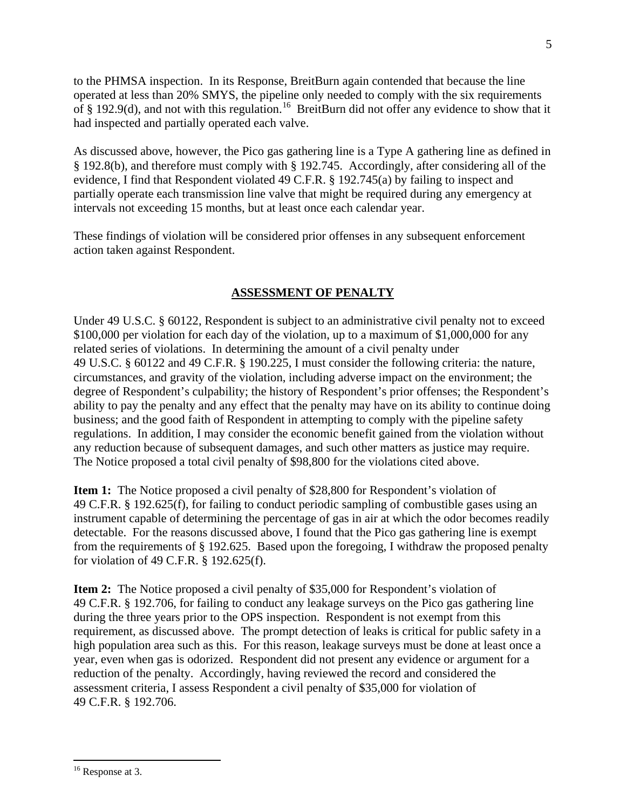to the PHMSA inspection. In its Response, BreitBurn again contended that because the line operated at less than 20% SMYS, the pipeline only needed to comply with the six requirements of § 192.9(d), and not with this regulation.<sup>[16](#page-5-0)</sup> BreitBurn did not offer any evidence to show that it had inspected and partially operated each valve.

As discussed above, however, the Pico gas gathering line is a Type A gathering line as defined in § 192.8(b), and therefore must comply with § 192.745. Accordingly, after considering all of the evidence, I find that Respondent violated 49 C.F.R. § 192.745(a) by failing to inspect and partially operate each transmission line valve that might be required during any emergency at intervals not exceeding 15 months, but at least once each calendar year.

These findings of violation will be considered prior offenses in any subsequent enforcement action taken against Respondent.

# **ASSESSMENT OF PENALTY**

Under 49 U.S.C. § 60122, Respondent is subject to an administrative civil penalty not to exceed \$100,000 per violation for each day of the violation, up to a maximum of \$1,000,000 for any related series of violations. In determining the amount of a civil penalty under 49 U.S.C. § 60122 and 49 C.F.R. § 190.225, I must consider the following criteria: the nature, circumstances, and gravity of the violation, including adverse impact on the environment; the degree of Respondent's culpability; the history of Respondent's prior offenses; the Respondent's ability to pay the penalty and any effect that the penalty may have on its ability to continue doing business; and the good faith of Respondent in attempting to comply with the pipeline safety regulations. In addition, I may consider the economic benefit gained from the violation without any reduction because of subsequent damages, and such other matters as justice may require. The Notice proposed a total civil penalty of \$98,800 for the violations cited above.

**Item 1:** The Notice proposed a civil penalty of \$28,800 for Respondent's violation of 49 C.F.R. § 192.625(f), for failing to conduct periodic sampling of combustible gases using an instrument capable of determining the percentage of gas in air at which the odor becomes readily detectable. For the reasons discussed above, I found that the Pico gas gathering line is exempt from the requirements of § 192.625. Based upon the foregoing, I withdraw the proposed penalty for violation of 49 C.F.R. § 192.625(f).

**Item 2:** The Notice proposed a civil penalty of \$35,000 for Respondent's violation of 49 C.F.R. § 192.706, for failing to conduct any leakage surveys on the Pico gas gathering line during the three years prior to the OPS inspection. Respondent is not exempt from this requirement, as discussed above. The prompt detection of leaks is critical for public safety in a high population area such as this. For this reason, leakage surveys must be done at least once a year, even when gas is odorized. Respondent did not present any evidence or argument for a reduction of the penalty. Accordingly, having reviewed the record and considered the assessment criteria, I assess Respondent a civil penalty of \$35,000 for violation of 49 C.F.R. § 192.706.

<span id="page-5-0"></span><sup>&</sup>lt;sup>16</sup> Response at 3.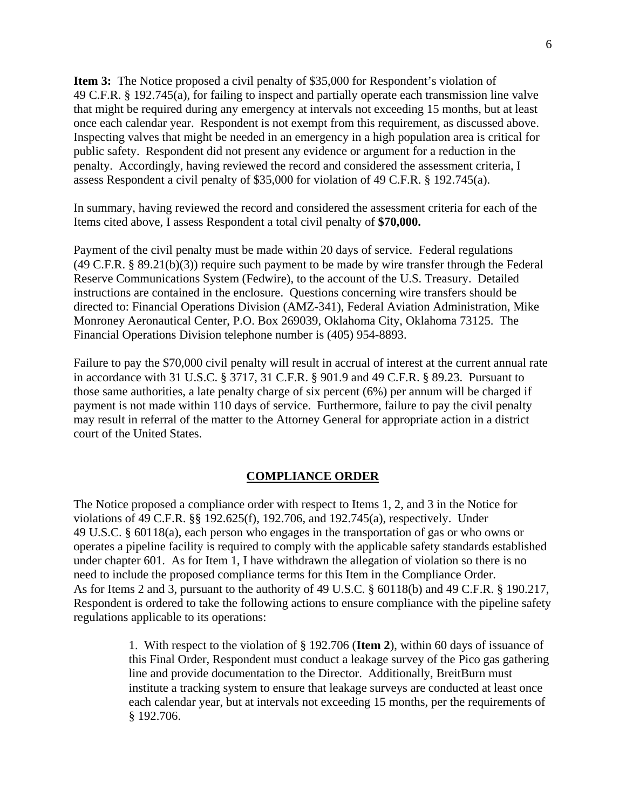**Item 3:** The Notice proposed a civil penalty of \$35,000 for Respondent's violation of 49 C.F.R. § 192.745(a), for failing to inspect and partially operate each transmission line valve that might be required during any emergency at intervals not exceeding 15 months, but at least once each calendar year. Respondent is not exempt from this requirement, as discussed above. Inspecting valves that might be needed in an emergency in a high population area is critical for public safety. Respondent did not present any evidence or argument for a reduction in the penalty. Accordingly, having reviewed the record and considered the assessment criteria, I assess Respondent a civil penalty of \$35,000 for violation of 49 C.F.R. § 192.745(a).

In summary, having reviewed the record and considered the assessment criteria for each of the Items cited above, I assess Respondent a total civil penalty of **\$70,000.**

Payment of the civil penalty must be made within 20 days of service. Federal regulations  $(49 \text{ C.F.R. } § 89.21(b)(3))$  require such payment to be made by wire transfer through the Federal Reserve Communications System (Fedwire), to the account of the U.S. Treasury. Detailed instructions are contained in the enclosure. Questions concerning wire transfers should be directed to: Financial Operations Division (AMZ-341), Federal Aviation Administration, Mike Monroney Aeronautical Center, P.O. Box 269039, Oklahoma City, Oklahoma 73125. The Financial Operations Division telephone number is (405) 954-8893.

Failure to pay the \$70,000 civil penalty will result in accrual of interest at the current annual rate in accordance with 31 U.S.C. § 3717, 31 C.F.R. § 901.9 and 49 C.F.R. § 89.23. Pursuant to those same authorities, a late penalty charge of six percent (6%) per annum will be charged if payment is not made within 110 days of service. Furthermore, failure to pay the civil penalty may result in referral of the matter to the Attorney General for appropriate action in a district court of the United States.

### **COMPLIANCE ORDER**

The Notice proposed a compliance order with respect to Items 1, 2, and 3 in the Notice for violations of 49 C.F.R. §§ 192.625(f), 192.706, and 192.745(a), respectively. Under 49 U.S.C. § 60118(a), each person who engages in the transportation of gas or who owns or operates a pipeline facility is required to comply with the applicable safety standards established under chapter 601. As for Item 1, I have withdrawn the allegation of violation so there is no need to include the proposed compliance terms for this Item in the Compliance Order. As for Items 2 and 3, pursuant to the authority of 49 U.S.C. § 60118(b) and 49 C.F.R. § 190.217, Respondent is ordered to take the following actions to ensure compliance with the pipeline safety regulations applicable to its operations:

> 1. With respect to the violation of § 192.706 (**Item 2**), within 60 days of issuance of this Final Order, Respondent must conduct a leakage survey of the Pico gas gathering line and provide documentation to the Director. Additionally, BreitBurn must institute a tracking system to ensure that leakage surveys are conducted at least once each calendar year, but at intervals not exceeding 15 months, per the requirements of § 192.706.